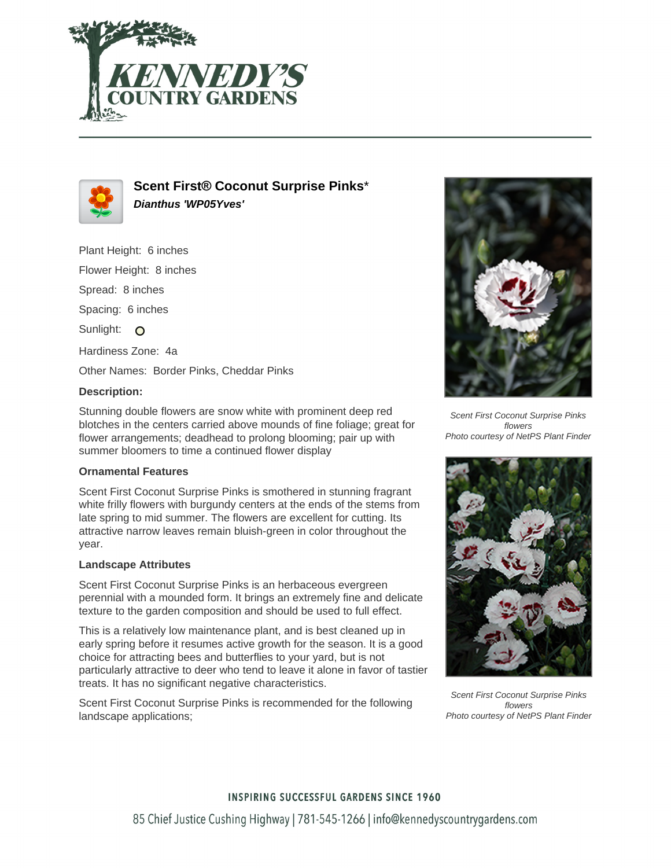



**Scent First® Coconut Surprise Pinks**\* **Dianthus 'WP05Yves'**

Plant Height: 6 inches Flower Height: 8 inches Spread: 8 inches Spacing: 6 inches Sunlight: O Hardiness Zone: 4a Other Names: Border Pinks, Cheddar Pinks

## **Description:**

Stunning double flowers are snow white with prominent deep red blotches in the centers carried above mounds of fine foliage; great for flower arrangements; deadhead to prolong blooming; pair up with summer bloomers to time a continued flower display

### **Ornamental Features**

Scent First Coconut Surprise Pinks is smothered in stunning fragrant white frilly flowers with burgundy centers at the ends of the stems from late spring to mid summer. The flowers are excellent for cutting. Its attractive narrow leaves remain bluish-green in color throughout the year.

## **Landscape Attributes**

Scent First Coconut Surprise Pinks is an herbaceous evergreen perennial with a mounded form. It brings an extremely fine and delicate texture to the garden composition and should be used to full effect.

This is a relatively low maintenance plant, and is best cleaned up in early spring before it resumes active growth for the season. It is a good choice for attracting bees and butterflies to your yard, but is not particularly attractive to deer who tend to leave it alone in favor of tastier treats. It has no significant negative characteristics.

Scent First Coconut Surprise Pinks is recommended for the following landscape applications;



Scent First Coconut Surprise Pinks flowers Photo courtesy of NetPS Plant Finder



Scent First Coconut Surprise Pinks flowers Photo courtesy of NetPS Plant Finder

## **INSPIRING SUCCESSFUL GARDENS SINCE 1960**